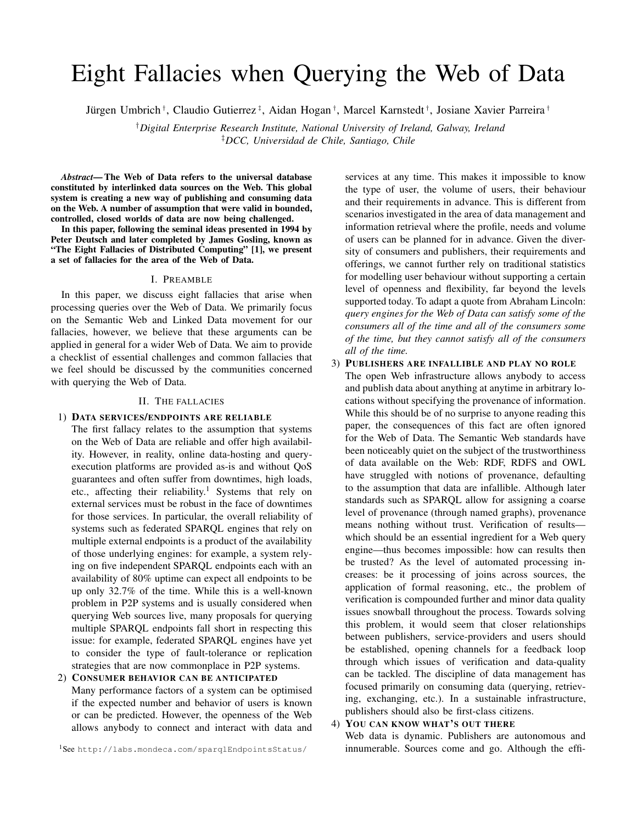# Eight Fallacies when Querying the Web of Data

Jürgen Umbrich†, Claudio Gutierrez‡, Aidan Hogan†, Marcel Karnstedt†, Josiane Xavier Parreira†

†*Digital Enterprise Research Institute, National University of Ireland, Galway, Ireland* ‡*DCC, Universidad de Chile, Santiago, Chile*

*Abstract*— The Web of Data refers to the universal database constituted by interlinked data sources on the Web. This global system is creating a new way of publishing and consuming data on the Web. A number of assumption that were valid in bounded, controlled, closed worlds of data are now being challenged.

In this paper, following the seminal ideas presented in 1994 by Peter Deutsch and later completed by James Gosling, known as "The Eight Fallacies of Distributed Computing" [1], we present a set of fallacies for the area of the Web of Data.

# I. PREAMBLE

In this paper, we discuss eight fallacies that arise when processing queries over the Web of Data. We primarily focus on the Semantic Web and Linked Data movement for our fallacies, however, we believe that these arguments can be applied in general for a wider Web of Data. We aim to provide a checklist of essential challenges and common fallacies that we feel should be discussed by the communities concerned with querying the Web of Data.

# II. THE FALLACIES

# 1) DATA SERVICES/ENDPOINTS ARE RELIABLE

The first fallacy relates to the assumption that systems on the Web of Data are reliable and offer high availability. However, in reality, online data-hosting and queryexecution platforms are provided as-is and without QoS guarantees and often suffer from downtimes, high loads, etc., affecting their reliability.<sup>1</sup> Systems that rely on external services must be robust in the face of downtimes for those services. In particular, the overall reliability of systems such as federated SPARQL engines that rely on multiple external endpoints is a product of the availability of those underlying engines: for example, a system relying on five independent SPARQL endpoints each with an availability of 80% uptime can expect all endpoints to be up only 32.7% of the time. While this is a well-known problem in P2P systems and is usually considered when querying Web sources live, many proposals for querying multiple SPARQL endpoints fall short in respecting this issue: for example, federated SPARQL engines have yet to consider the type of fault-tolerance or replication strategies that are now commonplace in P2P systems.

#### 2) CONSUMER BEHAVIOR CAN BE ANTICIPATED

Many performance factors of a system can be optimised if the expected number and behavior of users is known or can be predicted. However, the openness of the Web allows anybody to connect and interact with data and

<sup>1</sup>See http://labs.mondeca.com/sparqlEndpointsStatus/

services at any time. This makes it impossible to know the type of user, the volume of users, their behaviour and their requirements in advance. This is different from scenarios investigated in the area of data management and information retrieval where the profile, needs and volume of users can be planned for in advance. Given the diversity of consumers and publishers, their requirements and offerings, we cannot further rely on traditional statistics for modelling user behaviour without supporting a certain level of openness and flexibility, far beyond the levels supported today. To adapt a quote from Abraham Lincoln: *query engines for the Web of Data can satisfy some of the consumers all of the time and all of the consumers some of the time, but they cannot satisfy all of the consumers all of the time.*

3) PUBLISHERS ARE INFALLIBLE AND PLAY NO ROLE

The open Web infrastructure allows anybody to access and publish data about anything at anytime in arbitrary locations without specifying the provenance of information. While this should be of no surprise to anyone reading this paper, the consequences of this fact are often ignored for the Web of Data. The Semantic Web standards have been noticeably quiet on the subject of the trustworthiness of data available on the Web: RDF, RDFS and OWL have struggled with notions of provenance, defaulting to the assumption that data are infallible. Although later standards such as SPARQL allow for assigning a coarse level of provenance (through named graphs), provenance means nothing without trust. Verification of results which should be an essential ingredient for a Web query engine—thus becomes impossible: how can results then be trusted? As the level of automated processing increases: be it processing of joins across sources, the application of formal reasoning, etc., the problem of verification is compounded further and minor data quality issues snowball throughout the process. Towards solving this problem, it would seem that closer relationships between publishers, service-providers and users should be established, opening channels for a feedback loop through which issues of verification and data-quality can be tackled. The discipline of data management has focused primarily on consuming data (querying, retrieving, exchanging, etc.). In a sustainable infrastructure, publishers should also be first-class citizens.

#### 4) YOU CAN KNOW WHAT'S OUT THERE

Web data is dynamic. Publishers are autonomous and innumerable. Sources come and go. Although the effi-